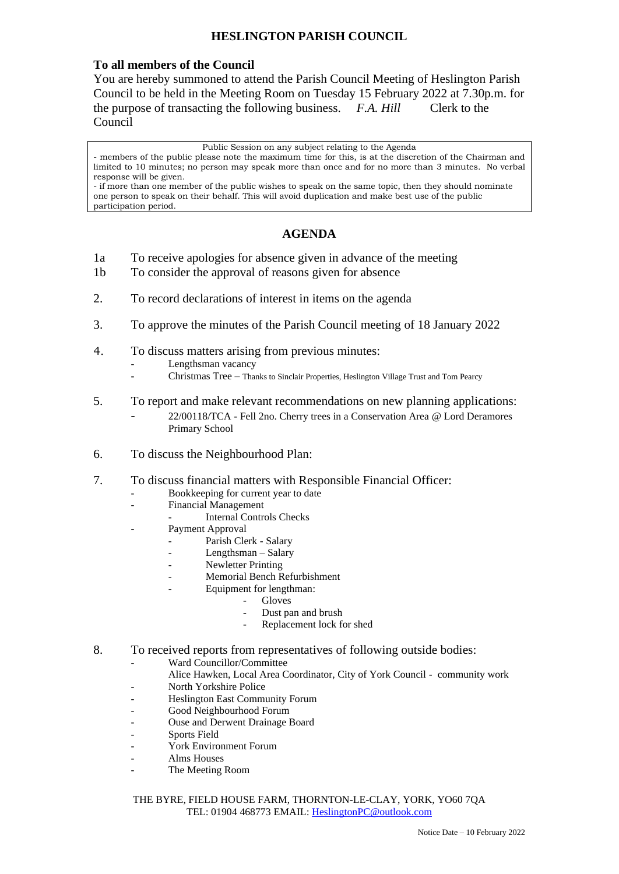## **HESLINGTON PARISH COUNCIL**

## **To all members of the Council**

You are hereby summoned to attend the Parish Council Meeting of Heslington Parish Council to be held in the Meeting Room on Tuesday 15 February 2022 at 7.30p.m. for the purpose of transacting the following business. *F.A. Hill* Clerk to the Council

Public Session on any subject relating to the Agenda

- members of the public please note the maximum time for this, is at the discretion of the Chairman and limited to 10 minutes; no person may speak more than once and for no more than 3 minutes. No verbal response will be given.

- if more than one member of the public wishes to speak on the same topic, then they should nominate one person to speak on their behalf. This will avoid duplication and make best use of the public participation period.

## **AGENDA**

- 1a To receive apologies for absence given in advance of the meeting
- 1b To consider the approval of reasons given for absence
- 2. To record declarations of interest in items on the agenda
- 3. To approve the minutes of the Parish Council meeting of 18 January 2022
- 4. To discuss matters arising from previous minutes:
	- Lengthsman vacancy
	- Christmas Tree Thanks to Sinclair Properties, Heslington Village Trust and Tom Pearcy
- 5. To report and make relevant recommendations on new planning applications: - 22/00118/TCA - Fell 2no. Cherry trees in a Conservation Area @ Lord Deramores Primary School
- 6. To discuss the Neighbourhood Plan:
- 7. To discuss financial matters with Responsible Financial Officer:
	- Bookkeeping for current year to date
	- Financial Management
		- Internal Controls Checks
	- Payment Approval
		- Parish Clerk Salary
		- Lengthsman Salary
		- Newletter Printing
		- Memorial Bench Refurbishment
		- Equipment for lengthman:
			- **Gloves**
			- Dust pan and brush
			- Replacement lock for shed
- 8. To received reports from representatives of following outside bodies:
	- Ward Councillor/Committee
		- Alice Hawken, Local Area Coordinator, City of York Council community work
	- North Yorkshire Police
	- Heslington East Community Forum
	- Good Neighbourhood Forum
	- Ouse and Derwent Drainage Board
	- Sports Field
	- York Environment Forum
	- Alms Houses
	- The Meeting Room

THE BYRE, FIELD HOUSE FARM, THORNTON-LE-CLAY, YORK, YO60 7QA TEL: 01904 468773 EMAIL: [HeslingtonPC@outlook.com](mailto:HeslingtonPC@outlook.com)